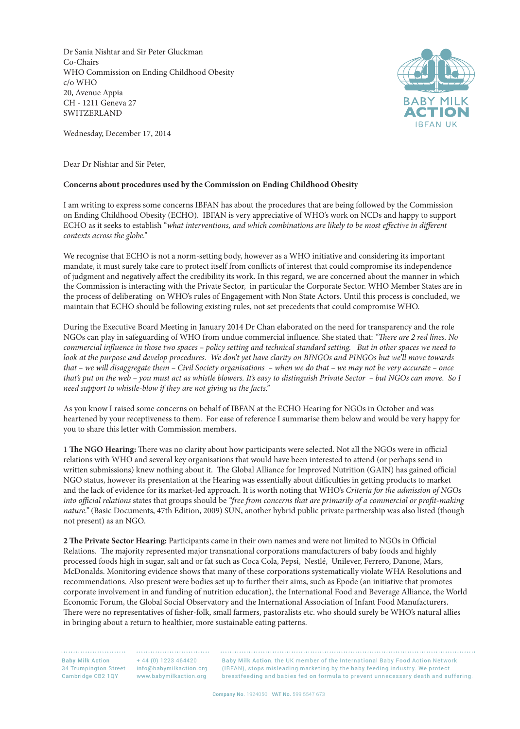Dr Sania Nishtar and Sir Peter Gluckman Co-Chairs WHO Commission on Ending Childhood Obesity c/o WHO 20, Avenue Appia CH - 1211 Geneva 27 SWITZERLAND



Wednesday, December 17, 2014

Dear Dr Nishtar and Sir Peter,

## **Concerns about procedures used by the Commission on Ending Childhood Obesity**

I am writing to express some concerns IBFAN has about the procedures that are being followed by the Commission on Ending Childhood Obesity (ECHO). IBFAN is very appreciative of WHO's work on NCDs and happy to support ECHO as it seeks to establish "*what interventions, and which combinations are likely to be most effective in different contexts across the globe."*

We recognise that ECHO is not a norm-setting body, however as a WHO initiative and considering its important mandate, it must surely take care to protect itself from conflicts of interest that could compromise its independence of judgment and negatively affect the credibility its work. In this regard, we are concerned about the manner in which the Commission is interacting with the Private Sector, in particular the Corporate Sector. WHO Member States are in the process of deliberating on WHO's rules of Engagement with Non State Actors. Until this process is concluded, we maintain that ECHO should be following existing rules, not set precedents that could compromise WHO.

During the Executive Board Meeting in January 2014 Dr Chan elaborated on the need for transparency and the role NGOs can play in safeguarding of WHO from undue commercial influence. She stated that: *"There are 2 red lines. No commercial influence in those two spaces – policy setting and technical standard setting. But in other spaces we need to look at the purpose and develop procedures. We don't yet have clarity on BINGOs and PINGOs but we'll move towards that – we will disaggregate them – Civil Society organisations – when we do that – we may not be very accurate – once that's put on the web – you must act as whistle blowers. It's easy to distinguish Private Sector – but NGOs can move. So I need support to whistle-blow if they are not giving us the facts."*

As you know I raised some concerns on behalf of IBFAN at the ECHO Hearing for NGOs in October and was heartened by your receptiveness to them. For ease of reference I summarise them below and would be very happy for you to share this letter with Commission members.

1 **The NGO Hearing:** There was no clarity about how participants were selected. Not all the NGOs were in official relations with WHO and several key organisations that would have been interested to attend (or perhaps send in written submissions) knew nothing about it. The Global Alliance for Improved Nutrition (GAIN) has gained official NGO status, however its presentation at the Hearing was essentially about difficulties in getting products to market and the lack of evidence for its market-led approach. It is worth noting that WHO's *Criteria for the admission of NGOs into official relations* states that groups should be *"free from concerns that are primarily of a commercial or profit-making nature."* (Basic Documents, 47th Edition, 2009) SUN, another hybrid public private partnership was also listed (though not present) as an NGO.

**2 The Private Sector Hearing:** Participants came in their own names and were not limited to NGOs in Official Relations. The majority represented major transnational corporations manufacturers of baby foods and highly processed foods high in sugar, salt and or fat such as Coca Cola, Pepsi, Nestlé, Unilever, Ferrero, Danone, Mars, McDonalds. Monitoring evidence shows that many of these corporations systematically violate WHA Resolutions and recommendations. Also present were bodies set up to further their aims, such as Epode (an initiative that promotes corporate involvement in and funding of nutrition education), the International Food and Beverage Alliance, the World Economic Forum, the Global Social Observatory and the International Association of Infant Food Manufacturers. There were no representatives of fisher-folk, small farmers, pastoralists etc. who should surely be WHO's natural allies in bringing about a return to healthier, more sustainable eating patterns.

Baby Milk Action Cambridge CB2 1QY

+ 44 (0) 1223 464420 34 Trumpington Street info@babymilkaction.org www.babymilkaction.org

Baby Milk Action, the UK member of the International Baby Food Action Network (IBFAN), stops misleading marketing by the baby feeding industry. We protect breastfeeding and babies fed on formula to prevent unnecessary death and suffering.